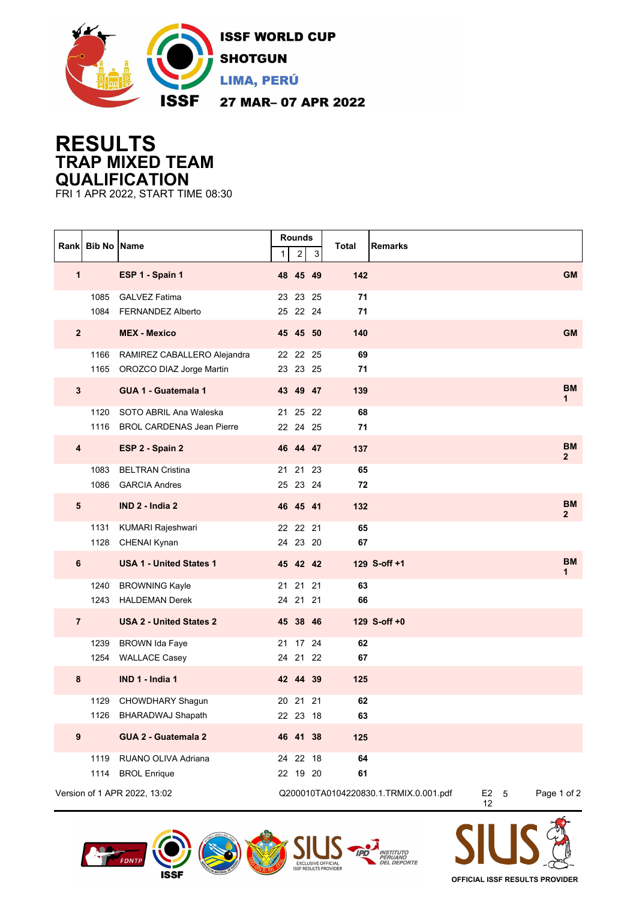

## **RESULTS TRAP MIXED TEAM QUALIFICATION**

FRI 1 APR 2022, START TIME 08:30

|                              | Rank Bib No Name |                                                              | 1 | Rounds<br>$\boldsymbol{2}$ | 3  | <b>Total</b><br><b>Remarks</b>        |                    |                           |
|------------------------------|------------------|--------------------------------------------------------------|---|----------------------------|----|---------------------------------------|--------------------|---------------------------|
| 1                            |                  | ESP 1 - Spain 1                                              |   | 48 45 49                   |    | 142                                   |                    | <b>GM</b>                 |
|                              | 1085<br>1084     | <b>GALVEZ Fatima</b><br><b>FERNANDEZ Alberto</b>             |   | 23 23 25<br>25 22 24       |    | 71<br>71                              |                    |                           |
| $\overline{2}$               |                  | <b>MEX - Mexico</b>                                          |   | 45 45 50                   |    | 140                                   |                    | <b>GM</b>                 |
|                              | 1166             | RAMIREZ CABALLERO Alejandra<br>1165 OROZCO DIAZ Jorge Martin |   | 22 22 25<br>23 23 25       |    | 69<br>71                              |                    |                           |
| $\mathbf{3}$                 |                  | GUA 1 - Guatemala 1                                          |   | 43 49 47                   |    | 139                                   |                    | <b>BM</b><br>1            |
|                              | 1120<br>1116     | SOTO ABRIL Ana Waleska<br><b>BROL CARDENAS Jean Pierre</b>   |   | 21 25 22<br>22 24 25       |    | 68<br>71                              |                    |                           |
| $\overline{\mathbf{4}}$      |                  | ESP 2 - Spain 2                                              |   | 46 44 47                   |    | 137                                   |                    | <b>BM</b><br>$\mathbf{2}$ |
|                              | 1083<br>1086     | <b>BELTRAN Cristina</b><br><b>GARCIA Andres</b>              |   | 21 21 23<br>25 23 24       |    | 65<br>72                              |                    |                           |
| 5                            |                  | IND 2 - India 2                                              |   | 46 45 41                   |    | 132                                   |                    | <b>BM</b><br>$\mathbf{2}$ |
|                              | 1131             | KUMARI Rajeshwari<br>1128 CHENAI Kynan                       |   | 22 22 21<br>24 23 20       |    | 65<br>67                              |                    |                           |
| 6                            |                  | <b>USA 1 - United States 1</b>                               |   | 45 42 42                   |    | 129 S-off +1                          |                    | <b>BM</b><br>1            |
|                              | 1240<br>1243     | <b>BROWNING Kayle</b><br><b>HALDEMAN Derek</b>               |   | 21 21 21<br>24 21 21       |    | 63<br>66                              |                    |                           |
| $\overline{7}$               |                  | <b>USA 2 - United States 2</b>                               |   | 45 38 46                   |    | 129 S-off +0                          |                    |                           |
|                              | 1239<br>1254     | <b>BROWN Ida Faye</b><br><b>WALLACE Casey</b>                |   | 21 17 24<br>24 21          | 22 | 62<br>67                              |                    |                           |
| 8                            |                  | IND 1 - India 1                                              |   | 42 44 39                   |    | 125                                   |                    |                           |
|                              |                  | 1129 CHOWDHARY Shagun<br>1126 BHARADWAJ Shapath              |   | 20 21 21<br>22 23 18       |    | 62<br>63                              |                    |                           |
| $\boldsymbol{9}$             |                  | GUA 2 - Guatemala 2                                          |   | 46 41 38                   |    | 125                                   |                    |                           |
|                              | 1119<br>1114     | RUANO OLIVA Adriana<br><b>BROL Enrique</b>                   |   | 24 22 18<br>22 19 20       |    | 64<br>61                              |                    |                           |
| Version of 1 APR 2022, 13:02 |                  |                                                              |   |                            |    | Q200010TA0104220830.1.TRMIX.0.001.pdf | $E2 \quad 5$<br>12 | Page 1 of 2               |